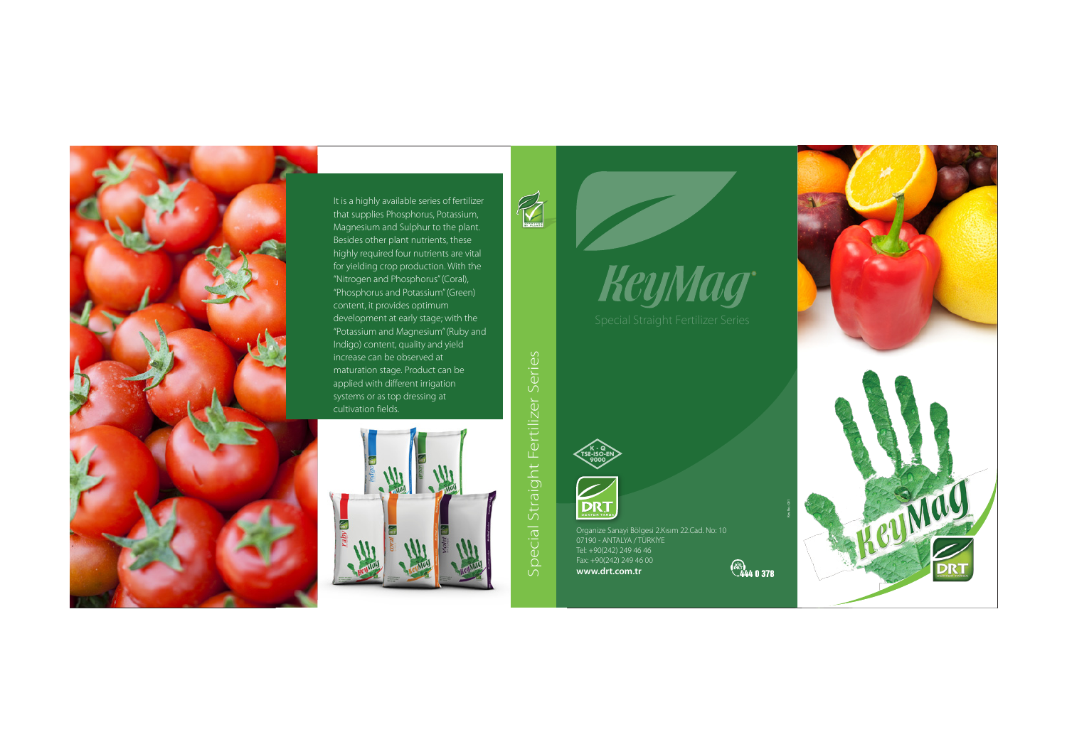Organize Sanayi Bölgesi 2.Kısım 22.Cad. No: 10 07190 - ANTALYA / TÜRKİYE Tel: +90(242) 249 46 46 Fax: +90(242) 249 46 00 **www.drt.com.tr**



Special Straight Fertilizer Series

Special:

Straight Fertilizer Series

# KeyMag

**DRT** 



It is a highly available series of fertilizer that supplies Phosphorus, Potassium, Magnesium and Sulphur to the plant. Besides other plant nutrients, these highly required four nutrients are vital for yielding crop production. With the "Nitrogen and Phosphorus" (Coral), "Phosphorus and Potassium" (Green) content, it provides optimum development at early stage; with the "Potassium and Magnesium" (Ruby and Indigo) content, quality and yield increase can be observed at maturation stage. Product can be applied with different irrigation systems or as top dressing at cultivation fields.



 $\mathbb{Z}$ 

Rev. No.: 001